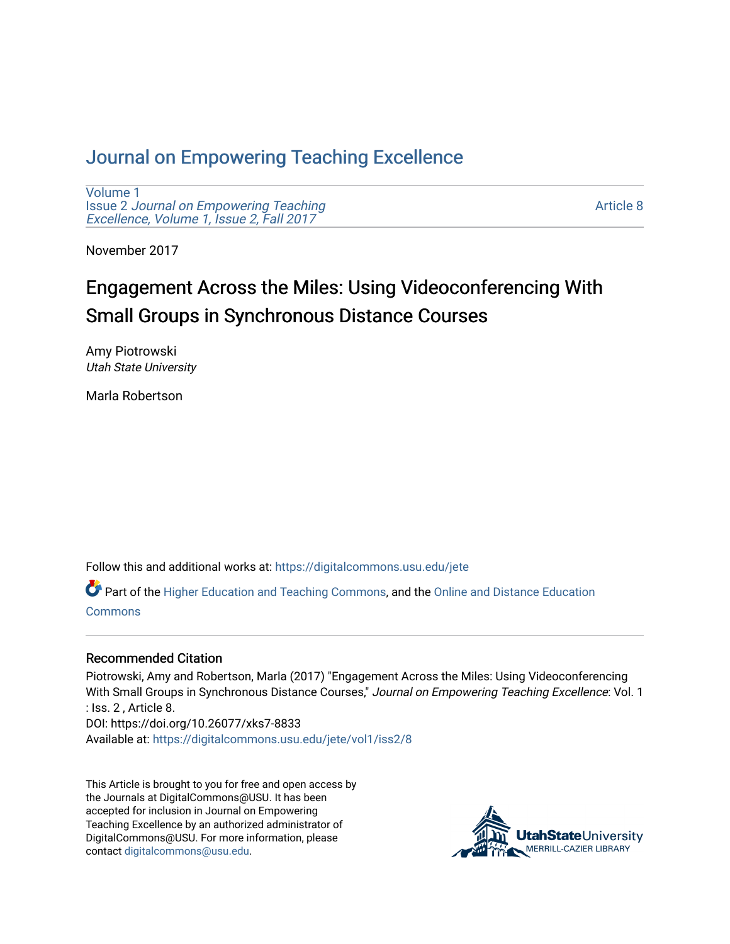#### [Journal on Empowering Teaching Excellence](https://digitalcommons.usu.edu/jete)

[Volume 1](https://digitalcommons.usu.edu/jete/vol1) Issue 2 [Journal on Empowering Teaching](https://digitalcommons.usu.edu/jete/vol1/iss2)  [Excellence, Volume 1, Issue 2, Fall 2017](https://digitalcommons.usu.edu/jete/vol1/iss2) 

[Article 8](https://digitalcommons.usu.edu/jete/vol1/iss2/8) 

November 2017

# Engagement Across the Miles: Using Videoconferencing With Small Groups in Synchronous Distance Courses

Amy Piotrowski Utah State University

Marla Robertson

Follow this and additional works at: [https://digitalcommons.usu.edu/jete](https://digitalcommons.usu.edu/jete?utm_source=digitalcommons.usu.edu%2Fjete%2Fvol1%2Fiss2%2F8&utm_medium=PDF&utm_campaign=PDFCoverPages) 

Part of the [Higher Education and Teaching Commons](http://network.bepress.com/hgg/discipline/806?utm_source=digitalcommons.usu.edu%2Fjete%2Fvol1%2Fiss2%2F8&utm_medium=PDF&utm_campaign=PDFCoverPages), and the [Online and Distance Education](http://network.bepress.com/hgg/discipline/1296?utm_source=digitalcommons.usu.edu%2Fjete%2Fvol1%2Fiss2%2F8&utm_medium=PDF&utm_campaign=PDFCoverPages) [Commons](http://network.bepress.com/hgg/discipline/1296?utm_source=digitalcommons.usu.edu%2Fjete%2Fvol1%2Fiss2%2F8&utm_medium=PDF&utm_campaign=PDFCoverPages)

#### Recommended Citation

Piotrowski, Amy and Robertson, Marla (2017) "Engagement Across the Miles: Using Videoconferencing With Small Groups in Synchronous Distance Courses," Journal on Empowering Teaching Excellence: Vol. 1 : Iss. 2 , Article 8. DOI: https://doi.org/10.26077/xks7-8833 Available at: [https://digitalcommons.usu.edu/jete/vol1/iss2/8](https://digitalcommons.usu.edu/jete/vol1/iss2/8?utm_source=digitalcommons.usu.edu%2Fjete%2Fvol1%2Fiss2%2F8&utm_medium=PDF&utm_campaign=PDFCoverPages) 

This Article is brought to you for free and open access by the Journals at DigitalCommons@USU. It has been accepted for inclusion in Journal on Empowering Teaching Excellence by an authorized administrator of DigitalCommons@USU. For more information, please contact [digitalcommons@usu.edu](mailto:digitalcommons@usu.edu).

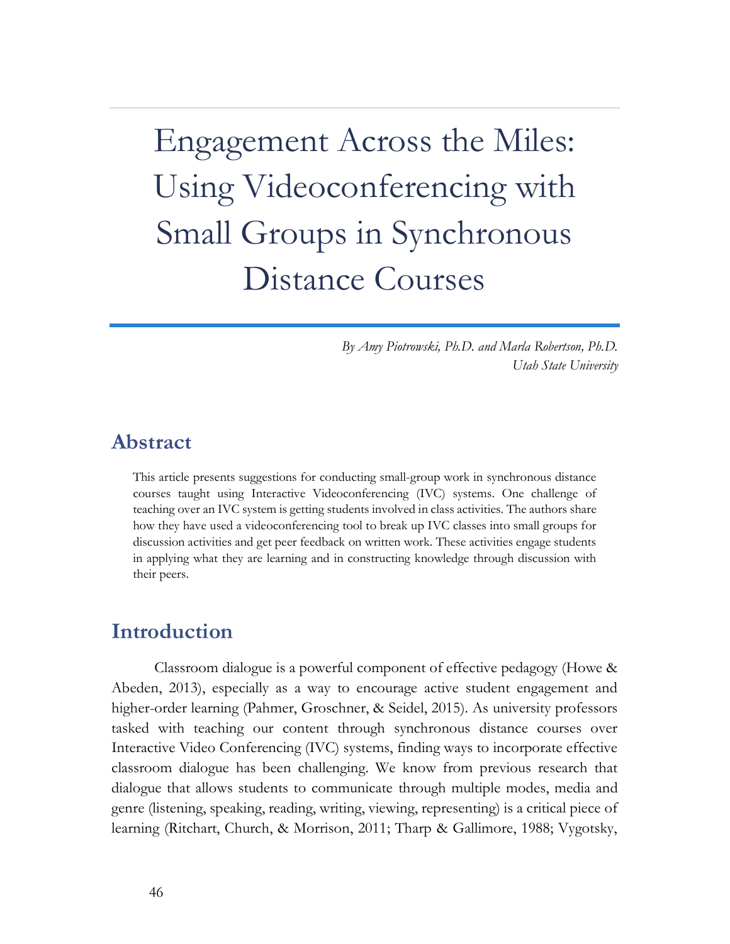Engagement Across the Miles: Using Videoconferencing with Small Groups in Synchronous Distance Courses

> *By Amy Piotrowski, Ph.D. and Marla Robertson, Ph.D. Utah State University*

#### **Abstract**

This article presents suggestions for conducting small-group work in synchronous distance courses taught using Interactive Videoconferencing (IVC) systems. One challenge of teaching over an IVC system is getting students involved in class activities. The authors share how they have used a videoconferencing tool to break up IVC classes into small groups for discussion activities and get peer feedback on written work. These activities engage students in applying what they are learning and in constructing knowledge through discussion with their peers.

#### **Introduction**

Classroom dialogue is a powerful component of effective pedagogy (Howe & Abeden, 2013), especially as a way to encourage active student engagement and higher-order learning (Pahmer, Groschner, & Seidel, 2015). As university professors tasked with teaching our content through synchronous distance courses over Interactive Video Conferencing (IVC) systems, finding ways to incorporate effective classroom dialogue has been challenging. We know from previous research that dialogue that allows students to communicate through multiple modes, media and genre (listening, speaking, reading, writing, viewing, representing) is a critical piece of learning (Ritchart, Church, & Morrison, 2011; Tharp & Gallimore, 1988; Vygotsky,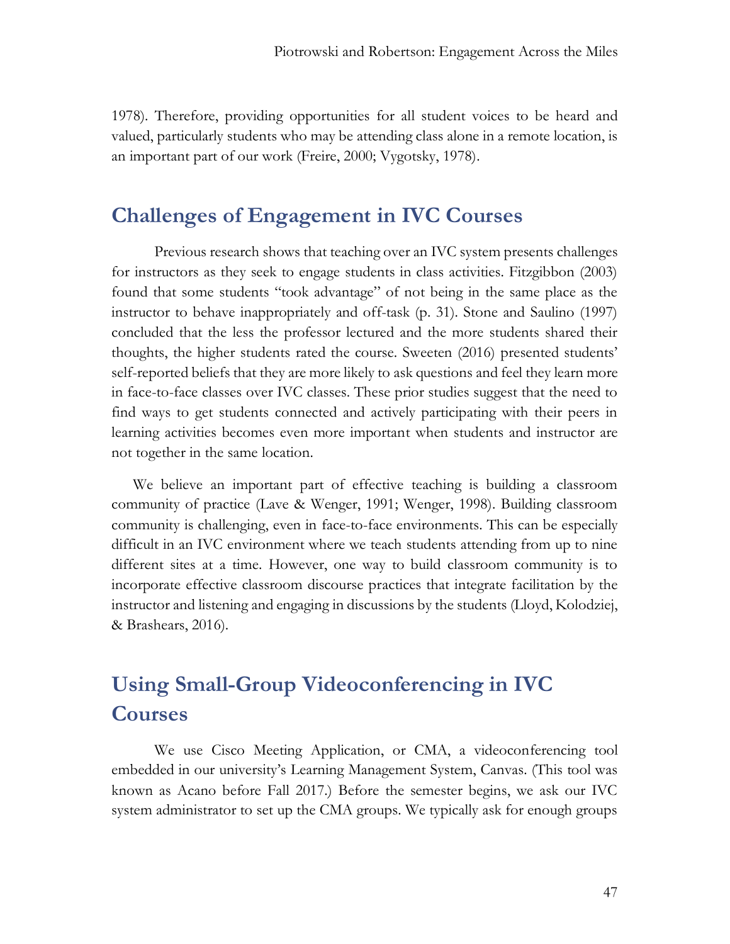1978). Therefore, providing opportunities for all student voices to be heard and valued, particularly students who may be attending class alone in a remote location, is an important part of our work (Freire, 2000; Vygotsky, 1978).

## **Challenges of Engagement in IVC Courses**

Previous research shows that teaching over an IVC system presents challenges for instructors as they seek to engage students in class activities. Fitzgibbon (2003) found that some students "took advantage" of not being in the same place as the instructor to behave inappropriately and off-task (p. 31). Stone and Saulino (1997) concluded that the less the professor lectured and the more students shared their thoughts, the higher students rated the course. Sweeten (2016) presented students' self-reported beliefs that they are more likely to ask questions and feel they learn more in face-to-face classes over IVC classes. These prior studies suggest that the need to find ways to get students connected and actively participating with their peers in learning activities becomes even more important when students and instructor are not together in the same location.

We believe an important part of effective teaching is building a classroom community of practice (Lave & Wenger, 1991; Wenger, 1998). Building classroom community is challenging, even in face-to-face environments. This can be especially difficult in an IVC environment where we teach students attending from up to nine different sites at a time. However, one way to build classroom community is to incorporate effective classroom discourse practices that integrate facilitation by the instructor and listening and engaging in discussions by the students (Lloyd, Kolodziej, & Brashears, 2016).

# **Using Small-Group Videoconferencing in IVC Courses**

We use Cisco Meeting Application, or CMA, a videoconferencing tool embedded in our university's Learning Management System, Canvas. (This tool was known as Acano before Fall 2017.) Before the semester begins, we ask our IVC system administrator to set up the CMA groups. We typically ask for enough groups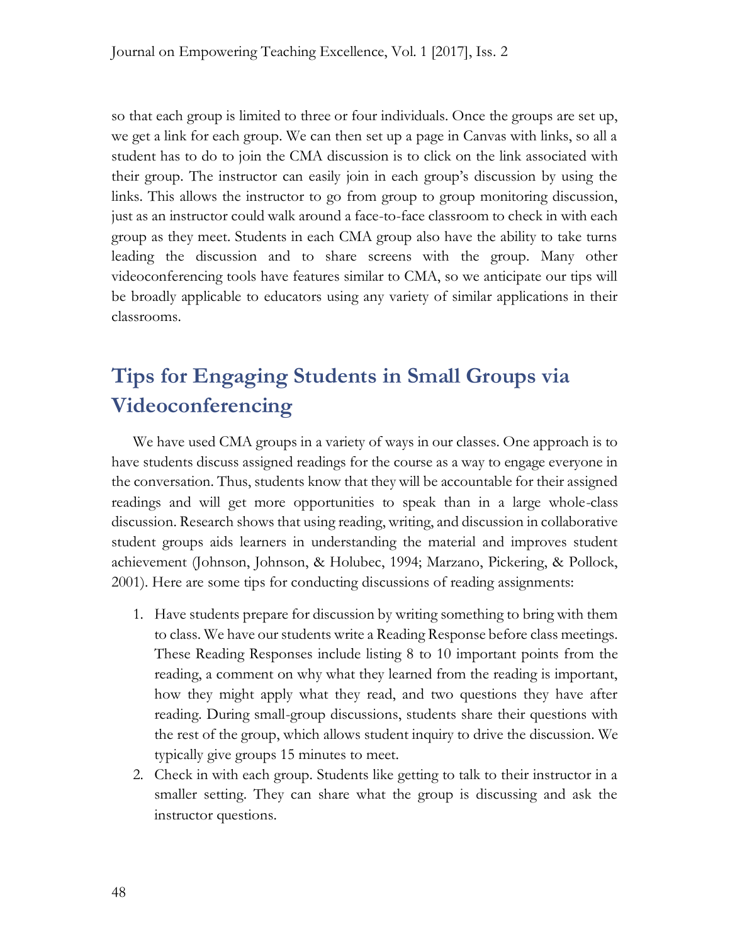so that each group is limited to three or four individuals. Once the groups are set up, we get a link for each group. We can then set up a page in Canvas with links, so all a student has to do to join the CMA discussion is to click on the link associated with their group. The instructor can easily join in each group's discussion by using the links. This allows the instructor to go from group to group monitoring discussion, just as an instructor could walk around a face-to-face classroom to check in with each group as they meet. Students in each CMA group also have the ability to take turns leading the discussion and to share screens with the group. Many other videoconferencing tools have features similar to CMA, so we anticipate our tips will be broadly applicable to educators using any variety of similar applications in their classrooms.

# **Tips for Engaging Students in Small Groups via Videoconferencing**

We have used CMA groups in a variety of ways in our classes. One approach is to have students discuss assigned readings for the course as a way to engage everyone in the conversation. Thus, students know that they will be accountable for their assigned readings and will get more opportunities to speak than in a large whole-class discussion. Research shows that using reading, writing, and discussion in collaborative student groups aids learners in understanding the material and improves student achievement (Johnson, Johnson, & Holubec, 1994; Marzano, Pickering, & Pollock, 2001). Here are some tips for conducting discussions of reading assignments:

- 1. Have students prepare for discussion by writing something to bring with them to class. We have our students write a Reading Response before class meetings. These Reading Responses include listing 8 to 10 important points from the reading, a comment on why what they learned from the reading is important, how they might apply what they read, and two questions they have after reading. During small-group discussions, students share their questions with the rest of the group, which allows student inquiry to drive the discussion. We typically give groups 15 minutes to meet.
- 2. Check in with each group. Students like getting to talk to their instructor in a smaller setting. They can share what the group is discussing and ask the instructor questions.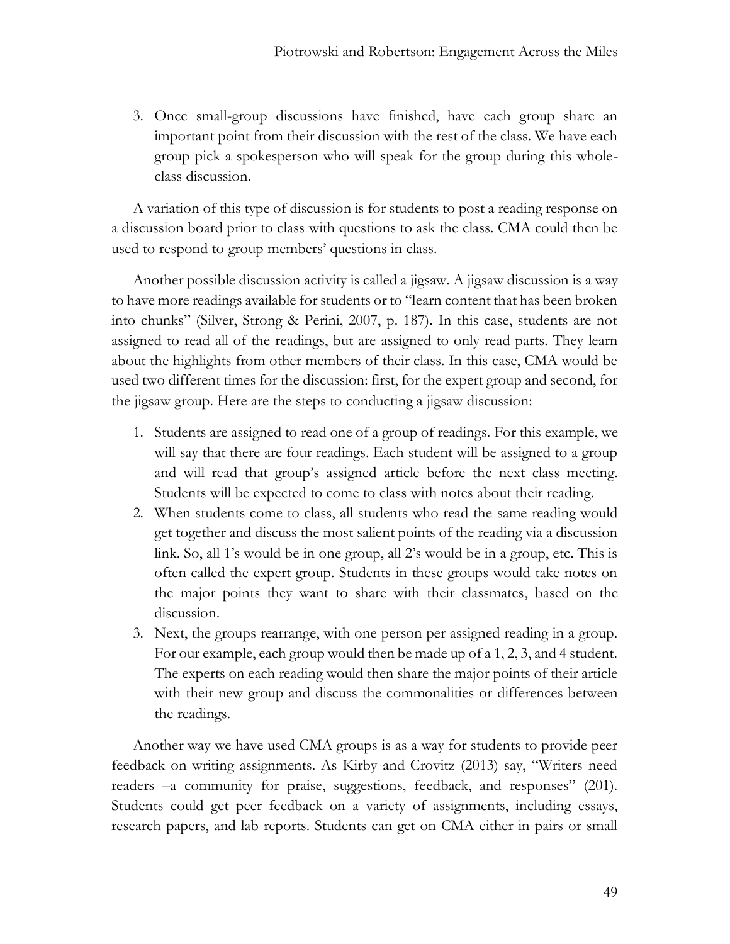3. Once small-group discussions have finished, have each group share an important point from their discussion with the rest of the class. We have each group pick a spokesperson who will speak for the group during this wholeclass discussion.

A variation of this type of discussion is for students to post a reading response on a discussion board prior to class with questions to ask the class. CMA could then be used to respond to group members' questions in class.

Another possible discussion activity is called a jigsaw. A jigsaw discussion is a way to have more readings available for students or to "learn content that has been broken into chunks" (Silver, Strong & Perini, 2007, p. 187). In this case, students are not assigned to read all of the readings, but are assigned to only read parts. They learn about the highlights from other members of their class. In this case, CMA would be used two different times for the discussion: first, for the expert group and second, for the jigsaw group. Here are the steps to conducting a jigsaw discussion:

- 1. Students are assigned to read one of a group of readings. For this example, we will say that there are four readings. Each student will be assigned to a group and will read that group's assigned article before the next class meeting. Students will be expected to come to class with notes about their reading.
- 2. When students come to class, all students who read the same reading would get together and discuss the most salient points of the reading via a discussion link. So, all 1's would be in one group, all 2's would be in a group, etc. This is often called the expert group. Students in these groups would take notes on the major points they want to share with their classmates, based on the discussion.
- 3. Next, the groups rearrange, with one person per assigned reading in a group. For our example, each group would then be made up of a 1, 2, 3, and 4 student. The experts on each reading would then share the major points of their article with their new group and discuss the commonalities or differences between the readings.

Another way we have used CMA groups is as a way for students to provide peer feedback on writing assignments. As Kirby and Crovitz (2013) say, "Writers need readers –a community for praise, suggestions, feedback, and responses" (201). Students could get peer feedback on a variety of assignments, including essays, research papers, and lab reports. Students can get on CMA either in pairs or small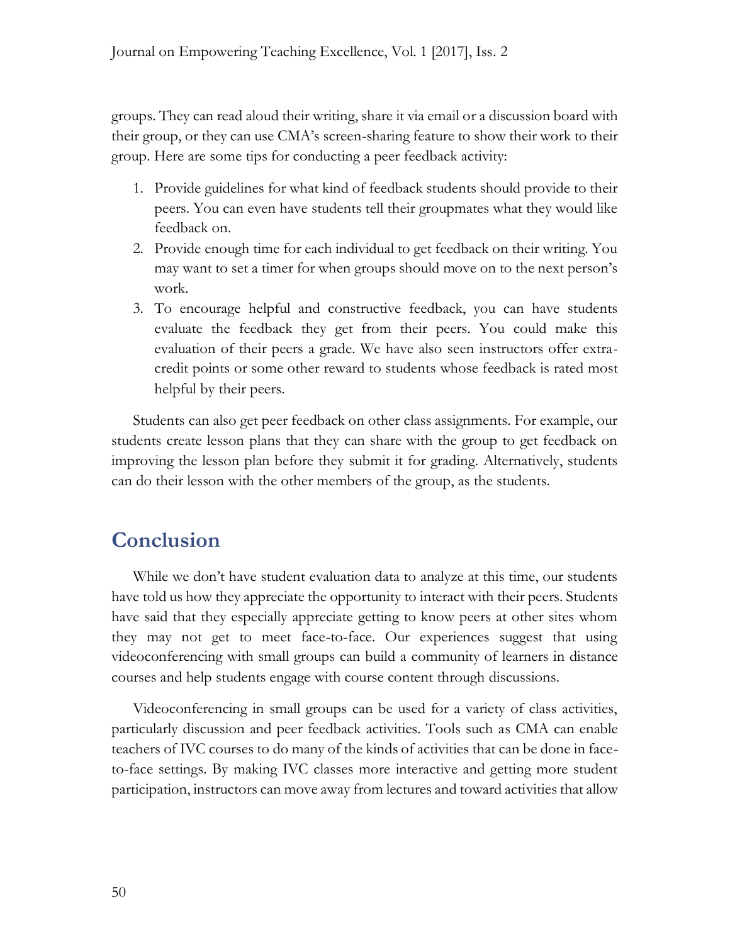groups. They can read aloud their writing, share it via email or a discussion board with their group, or they can use CMA's screen-sharing feature to show their work to their group. Here are some tips for conducting a peer feedback activity:

- 1. Provide guidelines for what kind of feedback students should provide to their peers. You can even have students tell their groupmates what they would like feedback on.
- 2. Provide enough time for each individual to get feedback on their writing. You may want to set a timer for when groups should move on to the next person's work.
- 3. To encourage helpful and constructive feedback, you can have students evaluate the feedback they get from their peers. You could make this evaluation of their peers a grade. We have also seen instructors offer extracredit points or some other reward to students whose feedback is rated most helpful by their peers.

Students can also get peer feedback on other class assignments. For example, our students create lesson plans that they can share with the group to get feedback on improving the lesson plan before they submit it for grading. Alternatively, students can do their lesson with the other members of the group, as the students.

## **Conclusion**

While we don't have student evaluation data to analyze at this time, our students have told us how they appreciate the opportunity to interact with their peers. Students have said that they especially appreciate getting to know peers at other sites whom they may not get to meet face-to-face. Our experiences suggest that using videoconferencing with small groups can build a community of learners in distance courses and help students engage with course content through discussions.

Videoconferencing in small groups can be used for a variety of class activities, particularly discussion and peer feedback activities. Tools such as CMA can enable teachers of IVC courses to do many of the kinds of activities that can be done in faceto-face settings. By making IVC classes more interactive and getting more student participation, instructors can move away from lectures and toward activities that allow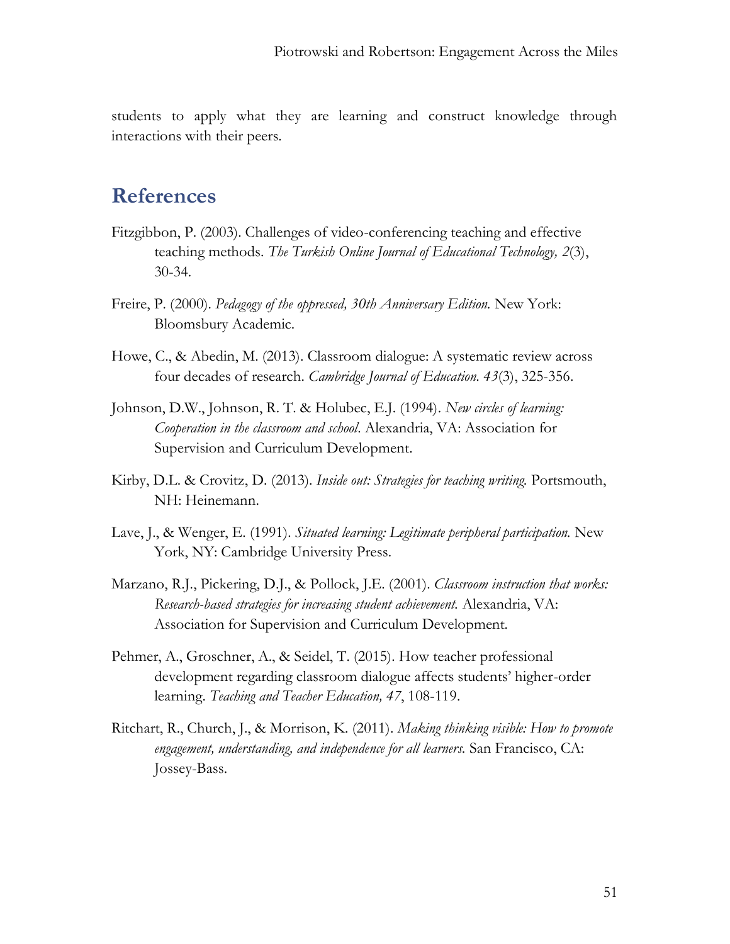students to apply what they are learning and construct knowledge through interactions with their peers.

### **References**

- Fitzgibbon, P. (2003). Challenges of video-conferencing teaching and effective teaching methods. *The Turkish Online Journal of Educational Technology, 2*(3), 30-34.
- Freire, P. (2000). *Pedagogy of the oppressed, 30th Anniversary Edition.* New York: Bloomsbury Academic.
- Howe, C., & Abedin, M. (2013). Classroom dialogue: A systematic review across four decades of research. *Cambridge Journal of Education. 43*(3), 325-356.
- Johnson, D.W., Johnson, R. T. & Holubec, E.J. (1994). *New circles of learning: Cooperation in the classroom and school*. Alexandria, VA: Association for Supervision and Curriculum Development.
- Kirby, D.L. & Crovitz, D. (2013). *Inside out: Strategies for teaching writing.* Portsmouth, NH: Heinemann.
- Lave, J., & Wenger, E. (1991). *Situated learning: Legitimate peripheral participation.* New York, NY: Cambridge University Press.
- Marzano, R.J., Pickering, D.J., & Pollock, J.E. (2001). *Classroom instruction that works: Research-based strategies for increasing student achievement.* Alexandria, VA: Association for Supervision and Curriculum Development.
- Pehmer, A., Groschner, A., & Seidel, T. (2015). How teacher professional development regarding classroom dialogue affects students' higher-order learning. *Teaching and Teacher Education, 47*, 108-119.
- Ritchart, R., Church, J., & Morrison, K. (2011). *Making thinking visible: How to promote engagement, understanding, and independence for all learners.* San Francisco, CA: Jossey-Bass.